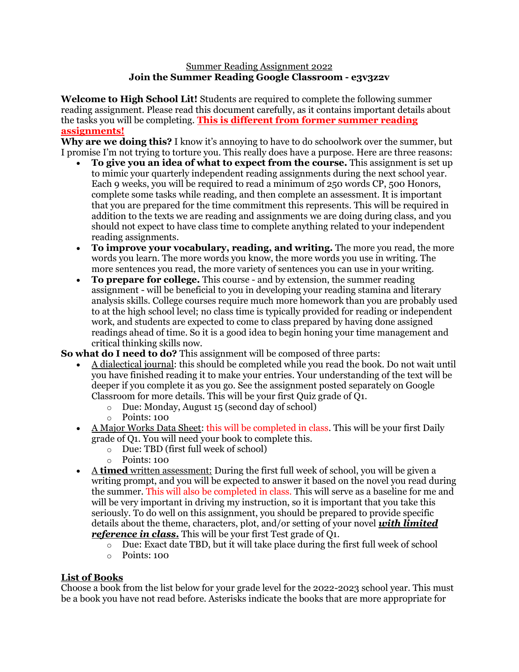#### Summer Reading Assignment 2022 **Join the Summer Reading Google Classroom - e3v3z2v**

**Welcome to High School Lit!** Students are required to complete the following summer reading assignment. Please read this document carefully, as it contains important details about the tasks you will be completing. **This is different from former summer reading assignments!**

**Why are we doing this?** I know it's annoying to have to do schoolwork over the summer, but I promise I'm not trying to torture you. This really does have a purpose. Here are three reasons:

- **To give you an idea of what to expect from the course.** This assignment is set up to mimic your quarterly independent reading assignments during the next school year. Each 9 weeks, you will be required to read a minimum of 250 words CP, 500 Honors, complete some tasks while reading, and then complete an assessment. It is important that you are prepared for the time commitment this represents. This will be required in addition to the texts we are reading and assignments we are doing during class, and you should not expect to have class time to complete anything related to your independent reading assignments.
- **To improve your vocabulary, reading, and writing.** The more you read, the more words you learn. The more words you know, the more words you use in writing. The more sentences you read, the more variety of sentences you can use in your writing.
- **To prepare for college.** This course and by extension, the summer reading assignment - will be beneficial to you in developing your reading stamina and literary analysis skills. College courses require much more homework than you are probably used to at the high school level; no class time is typically provided for reading or independent work, and students are expected to come to class prepared by having done assigned readings ahead of time. So it is a good idea to begin honing your time management and critical thinking skills now.

**So what do I need to do?** This assignment will be composed of three parts:

- A dialectical journal: this should be completed while you read the book. Do not wait until you have finished reading it to make your entries. Your understanding of the text will be deeper if you complete it as you go. See the assignment posted separately on Google Classroom for more details. This will be your first Quiz grade of Q1.
	- o Due: Monday, August 15 (second day of school)
	- o Points: 100
- A Major Works Data Sheet: this will be completed in class. This will be your first Daily grade of Q1. You will need your book to complete this.
	- o Due: TBD (first full week of school)
	- o Points: 100
- A **timed** written assessment: During the first full week of school, you will be given a writing prompt, and you will be expected to answer it based on the novel you read during the summer. This will also be completed in class. This will serve as a baseline for me and will be very important in driving my instruction, so it is important that you take this seriously. To do well on this assignment, you should be prepared to provide specific details about the theme, characters, plot, and/or setting of your novel *with limited reference in class.* This will be your first Test grade of Q1.
	- o Due: Exact date TBD, but it will take place during the first full week of school
	- o Points: 100

# **List of Books**

Choose a book from the list below for your grade level for the 2022-2023 school year. This must be a book you have not read before. Asterisks indicate the books that are more appropriate for